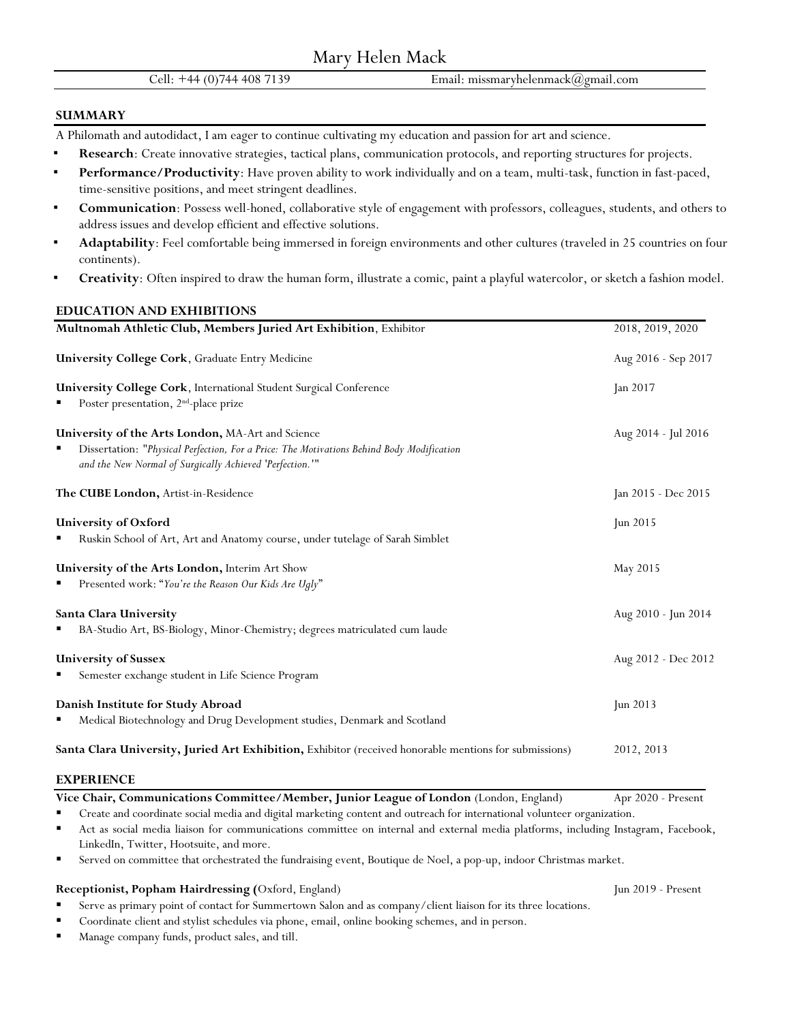Cell: +44 (0)744 408 7139 Email: missmaryhelenmack@gmail.com

#### **SUMMARY**

A Philomath and autodidact, I am eager to continue cultivating my education and passion for art and science.

- Research: Create innovative strategies, tactical plans, communication protocols, and reporting structures for projects.
- **Performance/Productivity**: Have proven ability to work individually and on a team, multi-task, function in fast-paced, time-sensitive positions, and meet stringent deadlines.
- Communication: Possess well-honed, collaborative style of engagement with professors, colleagues, students, and others to address issues and develop efficient and effective solutions.
- Adaptability: Feel comfortable being immersed in foreign environments and other cultures (traveled in 25 countries on four continents).
- Creativity: Often inspired to draw the human form, illustrate a comic, paint a playful watercolor, or sketch a fashion model.

# **EDUCATION AND EXHIBITIONS**

| Multnomah Athletic Club, Members Juried Art Exhibition, Exhibitor                                                                                     | 2018, 2019, 2020    |
|-------------------------------------------------------------------------------------------------------------------------------------------------------|---------------------|
| <b>University College Cork, Graduate Entry Medicine</b>                                                                                               | Aug 2016 - Sep 2017 |
| University College Cork, International Student Surgical Conference                                                                                    | Jan 2017            |
| Poster presentation, 2 <sup>nd</sup> -place prize                                                                                                     |                     |
| University of the Arts London, MA-Art and Science                                                                                                     | Aug 2014 - Jul 2016 |
| Dissertation: "Physical Perfection, For a Price: The Motivations Behind Body Modification<br>and the New Normal of Surgically Achieved 'Perfection.'" |                     |
| The CUBE London, Artist-in-Residence                                                                                                                  | Jan 2015 - Dec 2015 |
| University of Oxford                                                                                                                                  | Jun 2015            |
| Ruskin School of Art, Art and Anatomy course, under tutelage of Sarah Simblet<br>٠                                                                    |                     |
| University of the Arts London, Interim Art Show                                                                                                       | May 2015            |
| Presented work: "You're the Reason Our Kids Are Ugly"                                                                                                 |                     |
| Santa Clara University                                                                                                                                | Aug 2010 - Jun 2014 |
| BA-Studio Art, BS-Biology, Minor-Chemistry; degrees matriculated cum laude                                                                            |                     |
| <b>University of Sussex</b>                                                                                                                           | Aug 2012 - Dec 2012 |
| Semester exchange student in Life Science Program                                                                                                     |                     |
| Danish Institute for Study Abroad                                                                                                                     | Jun $2013$          |
| Medical Biotechnology and Drug Development studies, Denmark and Scotland                                                                              |                     |
| Santa Clara University, Juried Art Exhibition, Exhibitor (received honorable mentions for submissions)                                                | 2012, 2013          |
| <b>EXPERIENCE</b>                                                                                                                                     |                     |

**Vice Chair, Communications Committee/Member, Junior League of London** (London, England) Apr 2020 - Present

■ Create and coordinate social media and digital marketing content and outreach for international volunteer organization.

■ Act as social media liaison for communications committee on internal and external media platforms, including Instagram, Facebook, LinkedIn, Twitter, Hootsuite, and more.

Served on committee that orchestrated the fundraising event, Boutique de Noel, a pop-up, indoor Christmas market.

# **Receptionist, Popham Hairdressing (**Oxford, England) Jun 2019 - Present

- Serve as primary point of contact for Summertown Salon and as company/client liaison for its three locations.
- Coordinate client and stylist schedules via phone, email, online booking schemes, and in person.
- Manage company funds, product sales, and till.